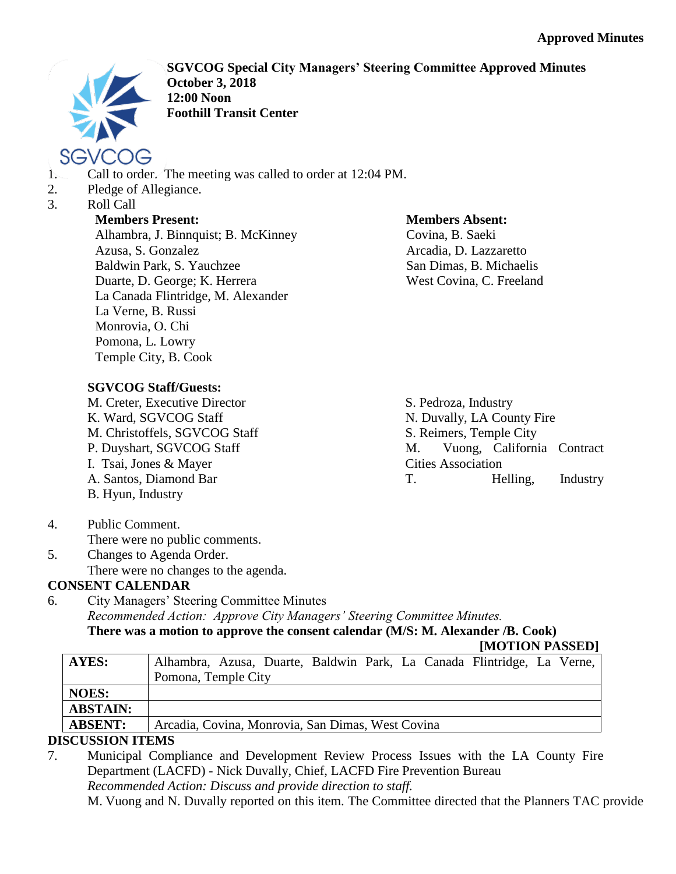

**SGVCOG Special City Managers' Steering Committee Approved Minutes October 3, 2018 12:00 Noon Foothill Transit Center**

- 1. Call to order. The meeting was called to order at 12:04 PM.
- 2. Pledge of Allegiance.
- 3. Roll Call

### **Members Present:**

Alhambra, J. Binnquist; B. McKinney Azusa, S. Gonzalez Baldwin Park, S. Yauchzee Duarte, D. George; K. Herrera La Canada Flintridge, M. Alexander La Verne, B. Russi Monrovia, O. Chi Pomona, L. Lowry Temple City, B. Cook

# **Members Absent:**

S. Pedroza, Industry

N. Duvally, LA County Fire S. Reimers, Temple City

M. Vuong, California Contract

Covina, B. Saeki Arcadia, D. Lazzaretto San Dimas, B. Michaelis West Covina, C. Freeland

## **SGVCOG Staff/Guests:**

M. Creter, Executive Director K. Ward, SGVCOG Staff M. Christoffels, SGVCOG Staff P. Duyshart, SGVCOG Staff I. Tsai, Jones & Mayer A. Santos, Diamond Bar B. Hyun, Industry

- Cities Association T. Helling, Industry
- 4. Public Comment. There were no public comments.
- 5. Changes to Agenda Order. There were no changes to the agenda.

# **CONSENT CALENDAR**

6. City Managers' Steering Committee Minutes *Recommended Action: Approve City Managers' Steering Committee Minutes.* **There was a motion to approve the consent calendar (M/S: M. Alexander /B. Cook)**

**[MOTION PASSED]**

|                                                   |  |  |                     |  |  |  | Alhambra, Azusa, Duarte, Baldwin Park, La Canada Flintridge, La Verne, |  |  |
|---------------------------------------------------|--|--|---------------------|--|--|--|------------------------------------------------------------------------|--|--|
|                                                   |  |  |                     |  |  |  |                                                                        |  |  |
|                                                   |  |  |                     |  |  |  |                                                                        |  |  |
|                                                   |  |  |                     |  |  |  |                                                                        |  |  |
| Arcadia, Covina, Monrovia, San Dimas, West Covina |  |  |                     |  |  |  |                                                                        |  |  |
|                                                   |  |  | Pomona, Temple City |  |  |  |                                                                        |  |  |

# **DISCUSSION ITEMS**

7. Municipal Compliance and Development Review Process Issues with the LA County Fire Department (LACFD) - Nick Duvally, Chief, LACFD Fire Prevention Bureau *Recommended Action: Discuss and provide direction to staff.* M. Vuong and N. Duvally reported on this item. The Committee directed that the Planners TAC provide